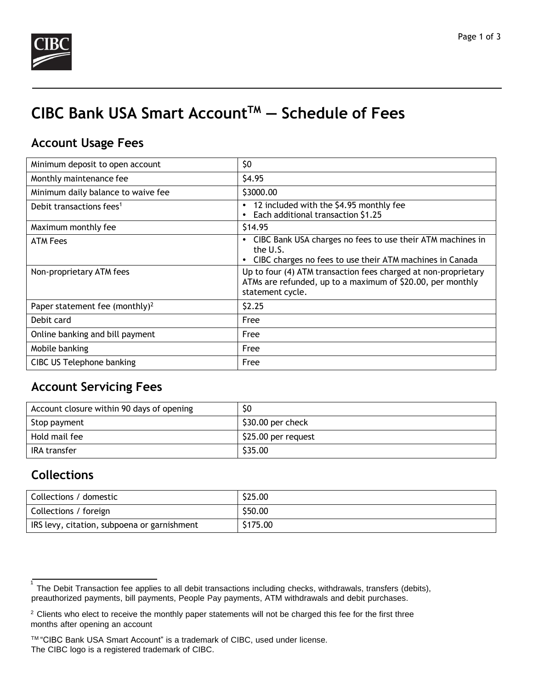

# **CIBC Bank USA Smart AccountTM — Schedule of Fees**

## **Account Usage Fees**

| Minimum deposit to open account            | \$0                                                                                                                                                          |
|--------------------------------------------|--------------------------------------------------------------------------------------------------------------------------------------------------------------|
| Monthly maintenance fee                    | \$4.95                                                                                                                                                       |
| Minimum daily balance to waive fee         | \$3000.00                                                                                                                                                    |
| Debit transactions fees <sup>1</sup>       | 12 included with the \$4.95 monthly fee<br>$\bullet$<br>Each additional transaction \$1.25                                                                   |
| Maximum monthly fee                        | \$14.95                                                                                                                                                      |
| <b>ATM Fees</b>                            | CIBC Bank USA charges no fees to use their ATM machines in<br>$\bullet$<br>the U.S.<br>CIBC charges no fees to use their ATM machines in Canada<br>$\bullet$ |
| Non-proprietary ATM fees                   | Up to four (4) ATM transaction fees charged at non-proprietary<br>ATMs are refunded, up to a maximum of \$20.00, per monthly<br>statement cycle.             |
| Paper statement fee (monthly) <sup>2</sup> | \$2.25                                                                                                                                                       |
| Debit card                                 | Free                                                                                                                                                         |
| Online banking and bill payment            | Free                                                                                                                                                         |
| Mobile banking                             | Free                                                                                                                                                         |
| CIBC US Telephone banking                  | Free                                                                                                                                                         |

## **Account Servicing Fees**

| Account closure within 90 days of opening | \$0                 |
|-------------------------------------------|---------------------|
| Stop payment                              | $$30.00$ per check  |
| Hold mail fee                             | \$25.00 per request |
| IRA transfer                              | \$35.00             |

### **Collections**

| Collections / domestic                      | \$25.00  |
|---------------------------------------------|----------|
| Collections / foreign                       | \$50.00  |
| IRS levy, citation, subpoena or garnishment | \$175.00 |

<sup>1</sup> The Debit Transaction fee applies to all debit transactions including checks, withdrawals, transfers (debits), preauthorized payments, bill payments, People Pay payments, ATM withdrawals and debit purchases.

<sup>&</sup>lt;sup>2</sup> Clients who elect to receive the monthly paper statements will not be charged this fee for the first three months after opening an account

TM "CIBC Bank USA Smart Account" is a trademark of CIBC, used under license. The CIBC logo is a registered trademark of CIBC.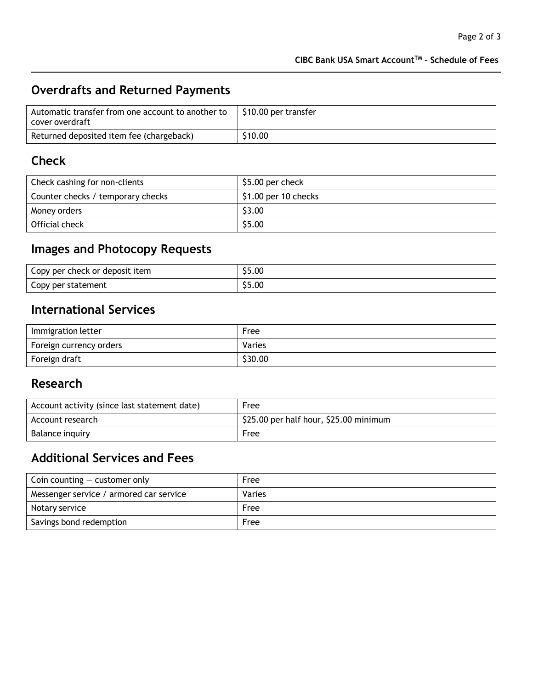### **CIBC Bank USA Smart AccountTM – Schedule of Fees**

# **Overdrafts and Returned Payments**

| Automatic transfer from one account to another to<br>cover overdraft | S10.00 per transfer |
|----------------------------------------------------------------------|---------------------|
| Returned deposited item fee (chargeback)                             | \$10.00             |

# **Check**

| Check cashing for non-clients     | \$5.00 per check      |
|-----------------------------------|-----------------------|
| Counter checks / temporary checks | $$1.00$ per 10 checks |
| Money orders                      | \$3.00                |
| Official check                    | \$5.00                |

# **Images and Photocopy Requests**

| Copy per check or deposit item | \$5.00 |
|--------------------------------|--------|
| Copy per statement             | \$5.00 |

## **International Services**

| Immigration letter      | Free    |
|-------------------------|---------|
| Foreign currency orders | Varies  |
| Foreign draft           | \$30.00 |

### **Research**

| Account activity (since last statement date) | Free                                   |
|----------------------------------------------|----------------------------------------|
| Account research                             | \$25.00 per half hour, \$25.00 minimum |
| Balance inquiry                              | Free                                   |

### **Additional Services and Fees**

| Coin counting $-$ customer only         | Free   |
|-----------------------------------------|--------|
| Messenger service / armored car service | Varies |
| Notary service                          | Free   |
| Savings bond redemption                 | Free   |